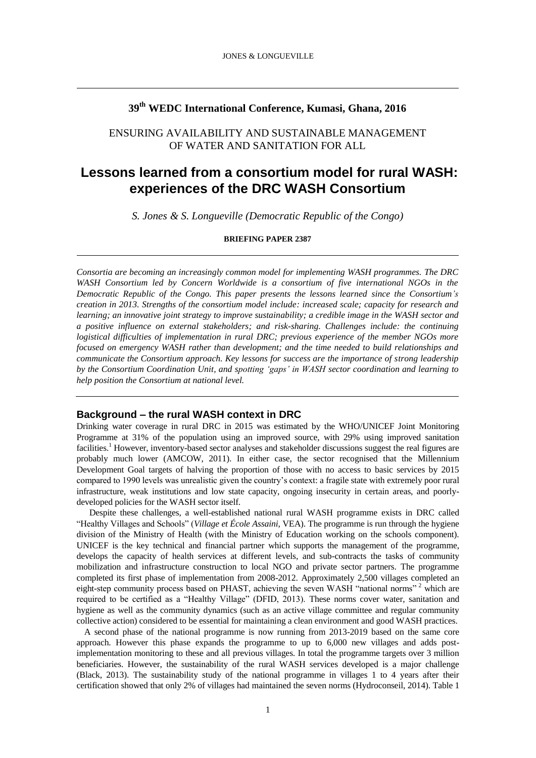# **39th WEDC International Conference, Kumasi, Ghana, 2016**

# ENSURING AVAILABILITY AND SUSTAINABLE MANAGEMENT OF WATER AND SANITATION FOR ALL

# **Lessons learned from a consortium model for rural WASH: experiences of the DRC WASH Consortium**

*S. Jones & S. Longueville (Democratic Republic of the Congo)*

**BRIEFING PAPER 2387**

*Consortia are becoming an increasingly common model for implementing WASH programmes. The DRC WASH Consortium led by Concern Worldwide is a consortium of five international NGOs in the Democratic Republic of the Congo. This paper presents the lessons learned since the Consortium's creation in 2013. Strengths of the consortium model include: increased scale; capacity for research and learning; an innovative joint strategy to improve sustainability; a credible image in the WASH sector and a positive influence on external stakeholders; and risk-sharing. Challenges include: the continuing logistical difficulties of implementation in rural DRC; previous experience of the member NGOs more focused on emergency WASH rather than development; and the time needed to build relationships and communicate the Consortium approach. Key lessons for success are the importance of strong leadership by the Consortium Coordination Unit, and spotting 'gaps' in WASH sector coordination and learning to help position the Consortium at national level.*

# **Background – the rural WASH context in DRC**

Drinking water coverage in rural DRC in 2015 was estimated by the WHO/UNICEF Joint Monitoring Programme at 31% of the population using an improved source, with 29% using improved sanitation facilities.<sup>1</sup> However, inventory-based sector analyses and stakeholder discussions suggest the real figures are probably much lower (AMCOW, 2011). In either case, the sector recognised that the Millennium Development Goal targets of halving the proportion of those with no access to basic services by 2015 compared to 1990 levels was unrealistic given the country's context: a fragile state with extremely poor rural infrastructure, weak institutions and low state capacity, ongoing insecurity in certain areas, and poorlydeveloped policies for the WASH sector itself.

Despite these challenges, a well-established national rural WASH programme exists in DRC called "Healthy Villages and Schools" (*Village et École Assaini*, VEA). The programme is run through the hygiene division of the Ministry of Health (with the Ministry of Education working on the schools component). UNICEF is the key technical and financial partner which supports the management of the programme, develops the capacity of health services at different levels, and sub-contracts the tasks of community mobilization and infrastructure construction to local NGO and private sector partners. The programme completed its first phase of implementation from 2008-2012. Approximately 2,500 villages completed an eight-step community process based on PHAST, achieving the seven WASH "national norms" <sup>2</sup> which are required to be certified as a "Healthy Village" (DFID, 2013). These norms cover water, sanitation and hygiene as well as the community dynamics (such as an active village committee and regular community collective action) considered to be essential for maintaining a clean environment and good WASH practices.

A second phase of the national programme is now running from 2013-2019 based on the same core approach. However this phase expands the programme to up to 6,000 new villages and adds postimplementation monitoring to these and all previous villages. In total the programme targets over 3 million beneficiaries. However, the sustainability of the rural WASH services developed is a major challenge (Black, 2013). The sustainability study of the national programme in villages 1 to 4 years after their certification showed that only 2% of villages had maintained the seven norms (Hydroconseil, 2014). Table 1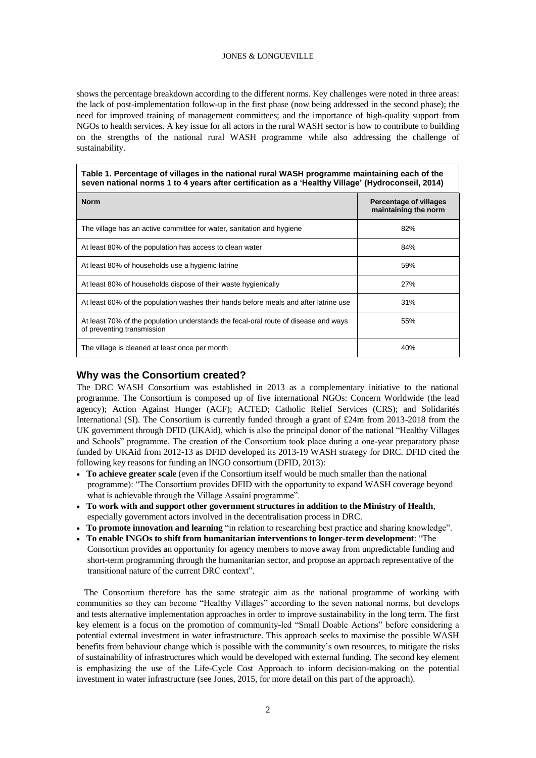shows the percentage breakdown according to the different norms. Key challenges were noted in three areas: the lack of post-implementation follow-up in the first phase (now being addressed in the second phase); the need for improved training of management committees; and the importance of high-quality support from NGOs to health services. A key issue for all actors in the rural WASH sector is how to contribute to building on the strengths of the national rural WASH programme while also addressing the challenge of sustainability.

### **Table 1. Percentage of villages in the national rural WASH programme maintaining each of the seven national norms 1 to 4 years after certification as a 'Healthy Village' (Hydroconseil, 2014)**

| <b>Norm</b>                                                                                                       | <b>Percentage of villages</b><br>maintaining the norm |
|-------------------------------------------------------------------------------------------------------------------|-------------------------------------------------------|
| The village has an active committee for water, sanitation and hygiene                                             | 82%                                                   |
| At least 80% of the population has access to clean water                                                          | 84%                                                   |
| At least 80% of households use a hygienic latrine                                                                 | 59%                                                   |
| At least 80% of households dispose of their waste hygienically                                                    | 27%                                                   |
| At least 60% of the population washes their hands before meals and after latrine use                              | 31%                                                   |
| At least 70% of the population understands the fecal-oral route of disease and ways<br>of preventing transmission | 55%                                                   |
| The village is cleaned at least once per month                                                                    | 40%                                                   |

# **Why was the Consortium created?**

The DRC WASH Consortium was established in 2013 as a complementary initiative to the national programme. The Consortium is composed up of five international NGOs: Concern Worldwide (the lead agency); Action Against Hunger (ACF); ACTED; Catholic Relief Services (CRS); and Solidarités International (SI). The Consortium is currently funded through a grant of £24m from 2013-2018 from the UK government through DFID (UKAid), which is also the principal donor of the national "Healthy Villages and Schools" programme. The creation of the Consortium took place during a one-year preparatory phase funded by UKAid from 2012-13 as DFID developed its 2013-19 WASH strategy for DRC. DFID cited the following key reasons for funding an INGO consortium (DFID, 2013):

- **To achieve greater scale** (even if the Consortium itself would be much smaller than the national programme): "The Consortium provides DFID with the opportunity to expand WASH coverage beyond what is achievable through the Village Assaini programme".
- **To work with and support other government structures in addition to the Ministry of Health**, especially government actors involved in the decentralisation process in DRC.
- **To promote innovation and learning** "in relation to researching best practice and sharing knowledge".
- **To enable INGOs to shift from humanitarian interventions to longer-term development**: "The Consortium provides an opportunity for agency members to move away from unpredictable funding and short-term programming through the humanitarian sector, and propose an approach representative of the transitional nature of the current DRC context".

The Consortium therefore has the same strategic aim as the national programme of working with communities so they can become "Healthy Villages" according to the seven national norms, but develops and tests alternative implementation approaches in order to improve sustainability in the long term. The first key element is a focus on the promotion of community-led "Small Doable Actions" before considering a potential external investment in water infrastructure. This approach seeks to maximise the possible WASH benefits from behaviour change which is possible with the community's own resources, to mitigate the risks of sustainability of infrastructures which would be developed with external funding. The second key element is emphasizing the use of the Life-Cycle Cost Approach to inform decision-making on the potential investment in water infrastructure (see Jones, 2015, for more detail on this part of the approach).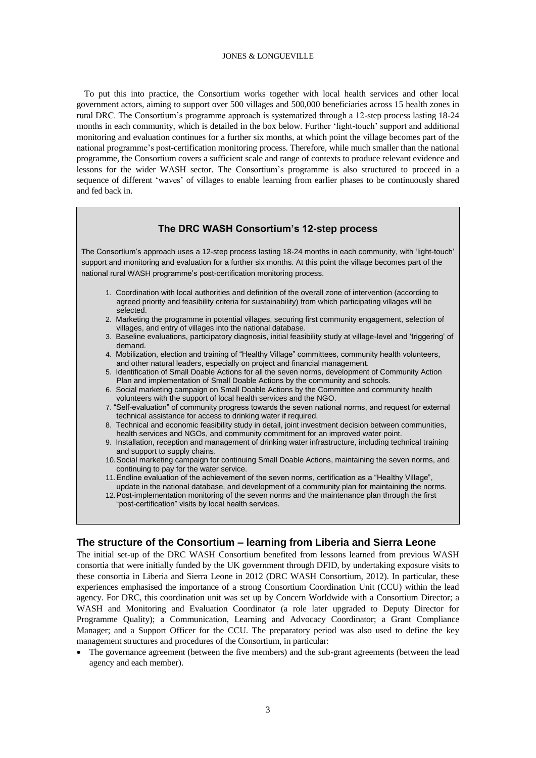To put this into practice, the Consortium works together with local health services and other local government actors, aiming to support over 500 villages and 500,000 beneficiaries across 15 health zones in rural DRC. The Consortium's programme approach is systematized through a 12-step process lasting 18-24 months in each community, which is detailed in the box below. Further 'light-touch' support and additional monitoring and evaluation continues for a further six months, at which point the village becomes part of the national programme's post-certification monitoring process. Therefore, while much smaller than the national programme, the Consortium covers a sufficient scale and range of contexts to produce relevant evidence and lessons for the wider WASH sector. The Consortium's programme is also structured to proceed in a sequence of different 'waves' of villages to enable learning from earlier phases to be continuously shared and fed back in.

# **The DRC WASH Consortium's 12-step process**

The Consortium's approach uses a 12-step process lasting 18-24 months in each community, with 'light-touch' support and monitoring and evaluation for a further six months. At this point the village becomes part of the national rural WASH programme's post-certification monitoring process.

- 1. Coordination with local authorities and definition of the overall zone of intervention (according to agreed priority and feasibility criteria for sustainability) from which participating villages will be selected.
- 2. Marketing the programme in potential villages, securing first community engagement, selection of villages, and entry of villages into the national database.
- 3. Baseline evaluations, participatory diagnosis, initial feasibility study at village-level and 'triggering' of demand.
- 4. Mobilization, election and training of "Healthy Village" committees, community health volunteers, and other natural leaders, especially on project and financial management.
- 5. Identification of Small Doable Actions for all the seven norms, development of Community Action Plan and implementation of Small Doable Actions by the community and schools.
- 6. Social marketing campaign on Small Doable Actions by the Committee and community health volunteers with the support of local health services and the NGO.
- 7. "Self-evaluation" of community progress towards the seven national norms, and request for external technical assistance for access to drinking water if required.
- 8. Technical and economic feasibility study in detail, joint investment decision between communities, health services and NGOs, and community commitment for an improved water point.
- 9. Installation, reception and management of drinking water infrastructure, including technical training and support to supply chains.
- 10.Social marketing campaign for continuing Small Doable Actions, maintaining the seven norms, and continuing to pay for the water service.
- 11.Endline evaluation of the achievement of the seven norms, certification as a "Healthy Village", update in the national database, and development of a community plan for maintaining the norms.
- 12.Post-implementation monitoring of the seven norms and the maintenance plan through the first "post-certification" visits by local health services.

# **The structure of the Consortium – learning from Liberia and Sierra Leone**

The initial set-up of the DRC WASH Consortium benefited from lessons learned from previous WASH consortia that were initially funded by the UK government through DFID, by undertaking exposure visits to these consortia in Liberia and Sierra Leone in 2012 (DRC WASH Consortium, 2012). In particular, these experiences emphasised the importance of a strong Consortium Coordination Unit (CCU) within the lead agency. For DRC, this coordination unit was set up by Concern Worldwide with a Consortium Director; a WASH and Monitoring and Evaluation Coordinator (a role later upgraded to Deputy Director for Programme Quality); a Communication, Learning and Advocacy Coordinator; a Grant Compliance Manager; and a Support Officer for the CCU. The preparatory period was also used to define the key management structures and procedures of the Consortium, in particular:

 The governance agreement (between the five members) and the sub-grant agreements (between the lead agency and each member).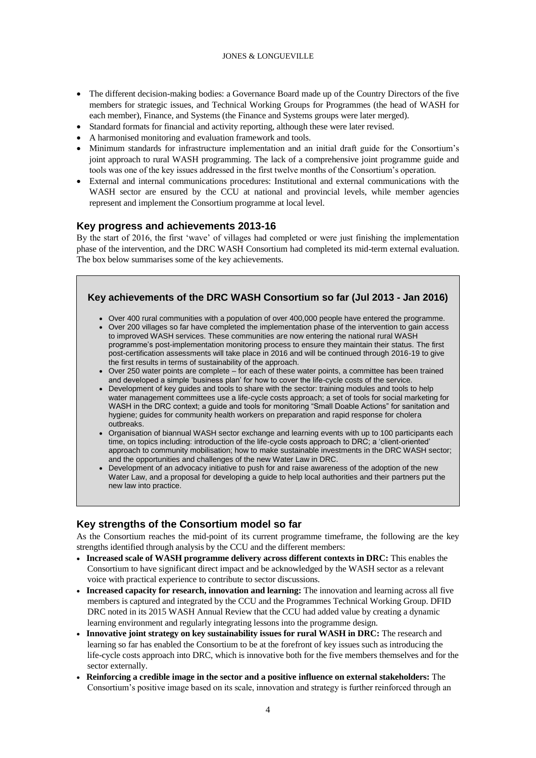- The different decision-making bodies: a Governance Board made up of the Country Directors of the five members for strategic issues, and Technical Working Groups for Programmes (the head of WASH for each member), Finance, and Systems (the Finance and Systems groups were later merged).
- Standard formats for financial and activity reporting, although these were later revised.
- A harmonised monitoring and evaluation framework and tools.
- Minimum standards for infrastructure implementation and an initial draft guide for the Consortium's joint approach to rural WASH programming. The lack of a comprehensive joint programme guide and tools was one of the key issues addressed in the first twelve months of the Consortium's operation.
- External and internal communications procedures: Institutional and external communications with the WASH sector are ensured by the CCU at national and provincial levels, while member agencies represent and implement the Consortium programme at local level.

# **Key progress and achievements 2013-16**

By the start of 2016, the first 'wave' of villages had completed or were just finishing the implementation phase of the intervention, and the DRC WASH Consortium had completed its mid-term external evaluation. The box below summarises some of the key achievements.



- Over 400 rural communities with a population of over 400,000 people have entered the programme.
- Over 200 villages so far have completed the implementation phase of the intervention to gain access to improved WASH services. These communities are now entering the national rural WASH programme's post-implementation monitoring process to ensure they maintain their status. The first post-certification assessments will take place in 2016 and will be continued through 2016-19 to give the first results in terms of sustainability of the approach.
- Over 250 water points are complete for each of these water points, a committee has been trained and developed a simple 'business plan' for how to cover the life-cycle costs of the service.
- Development of key guides and tools to share with the sector: training modules and tools to help water management committees use a life-cycle costs approach; a set of tools for social marketing for WASH in the DRC context; a guide and tools for monitoring "Small Doable Actions" for sanitation and hygiene; guides for community health workers on preparation and rapid response for cholera outbreaks.
- Organisation of biannual WASH sector exchange and learning events with up to 100 participants each time, on topics including: introduction of the life-cycle costs approach to DRC; a 'client-oriented' approach to community mobilisation; how to make sustainable investments in the DRC WASH sector; and the opportunities and challenges of the new Water Law in DRC.
- Development of an advocacy initiative to push for and raise awareness of the adoption of the new Water Law, and a proposal for developing a guide to help local authorities and their partners put the new law into practice.

# **Key strengths of the Consortium model so far**

As the Consortium reaches the mid-point of its current programme timeframe, the following are the key strengths identified through analysis by the CCU and the different members:

- **Increased scale of WASH programme delivery across different contexts in DRC:** This enables the Consortium to have significant direct impact and be acknowledged by the WASH sector as a relevant voice with practical experience to contribute to sector discussions.
- **Increased capacity for research, innovation and learning:** The innovation and learning across all five members is captured and integrated by the CCU and the Programmes Technical Working Group. DFID DRC noted in its 2015 WASH Annual Review that the CCU had added value by creating a dynamic learning environment and regularly integrating lessons into the programme design.
- **Innovative joint strategy on key sustainability issues for rural WASH in DRC:** The research and learning so far has enabled the Consortium to be at the forefront of key issues such as introducing the life-cycle costs approach into DRC, which is innovative both for the five members themselves and for the sector externally.
- **Reinforcing a credible image in the sector and a positive influence on external stakeholders:** The Consortium's positive image based on its scale, innovation and strategy is further reinforced through an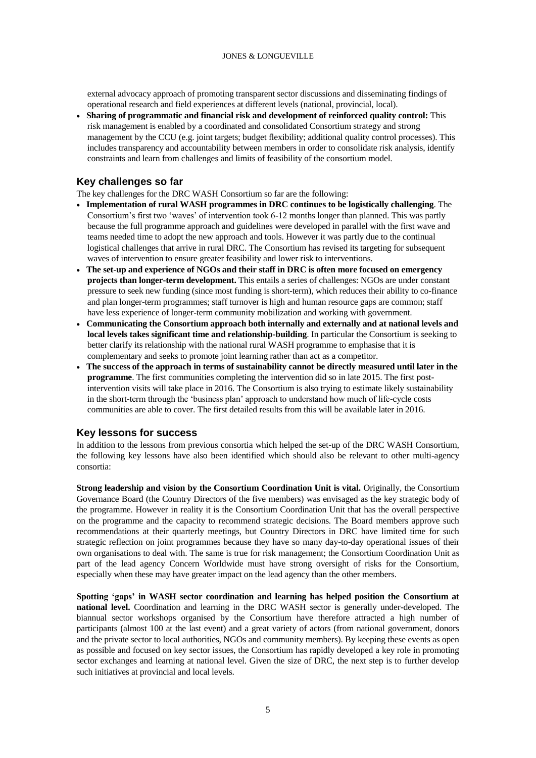external advocacy approach of promoting transparent sector discussions and disseminating findings of operational research and field experiences at different levels (national, provincial, local).

 **Sharing of programmatic and financial risk and development of reinforced quality control:** This risk management is enabled by a coordinated and consolidated Consortium strategy and strong management by the CCU (e.g. joint targets; budget flexibility; additional quality control processes). This includes transparency and accountability between members in order to consolidate risk analysis, identify constraints and learn from challenges and limits of feasibility of the consortium model.

# **Key challenges so far**

The key challenges for the DRC WASH Consortium so far are the following:

- **Implementation of rural WASH programmes in DRC continues to be logistically challenging**. The Consortium's first two 'waves' of intervention took 6-12 months longer than planned. This was partly because the full programme approach and guidelines were developed in parallel with the first wave and teams needed time to adopt the new approach and tools. However it was partly due to the continual logistical challenges that arrive in rural DRC. The Consortium has revised its targeting for subsequent waves of intervention to ensure greater feasibility and lower risk to interventions.
- **The set-up and experience of NGOs and their staff in DRC is often more focused on emergency projects than longer-term development.** This entails a series of challenges: NGOs are under constant pressure to seek new funding (since most funding is short-term), which reduces their ability to co-finance and plan longer-term programmes; staff turnover is high and human resource gaps are common; staff have less experience of longer-term community mobilization and working with government.
- **Communicating the Consortium approach both internally and externally and at national levels and local levels takes significant time and relationship-building**. In particular the Consortium is seeking to better clarify its relationship with the national rural WASH programme to emphasise that it is complementary and seeks to promote joint learning rather than act as a competitor.
- **The success of the approach in terms of sustainability cannot be directly measured until later in the programme**. The first communities completing the intervention did so in late 2015. The first postintervention visits will take place in 2016. The Consortium is also trying to estimate likely sustainability in the short-term through the 'business plan' approach to understand how much of life-cycle costs communities are able to cover. The first detailed results from this will be available later in 2016.

# **Key lessons for success**

In addition to the lessons from previous consortia which helped the set-up of the DRC WASH Consortium, the following key lessons have also been identified which should also be relevant to other multi-agency consortia:

**Strong leadership and vision by the Consortium Coordination Unit is vital.** Originally, the Consortium Governance Board (the Country Directors of the five members) was envisaged as the key strategic body of the programme. However in reality it is the Consortium Coordination Unit that has the overall perspective on the programme and the capacity to recommend strategic decisions. The Board members approve such recommendations at their quarterly meetings, but Country Directors in DRC have limited time for such strategic reflection on joint programmes because they have so many day-to-day operational issues of their own organisations to deal with. The same is true for risk management; the Consortium Coordination Unit as part of the lead agency Concern Worldwide must have strong oversight of risks for the Consortium, especially when these may have greater impact on the lead agency than the other members.

**Spotting 'gaps' in WASH sector coordination and learning has helped position the Consortium at national level.** Coordination and learning in the DRC WASH sector is generally under-developed. The biannual sector workshops organised by the Consortium have therefore attracted a high number of participants (almost 100 at the last event) and a great variety of actors (from national government, donors and the private sector to local authorities, NGOs and community members). By keeping these events as open as possible and focused on key sector issues, the Consortium has rapidly developed a key role in promoting sector exchanges and learning at national level. Given the size of DRC, the next step is to further develop such initiatives at provincial and local levels.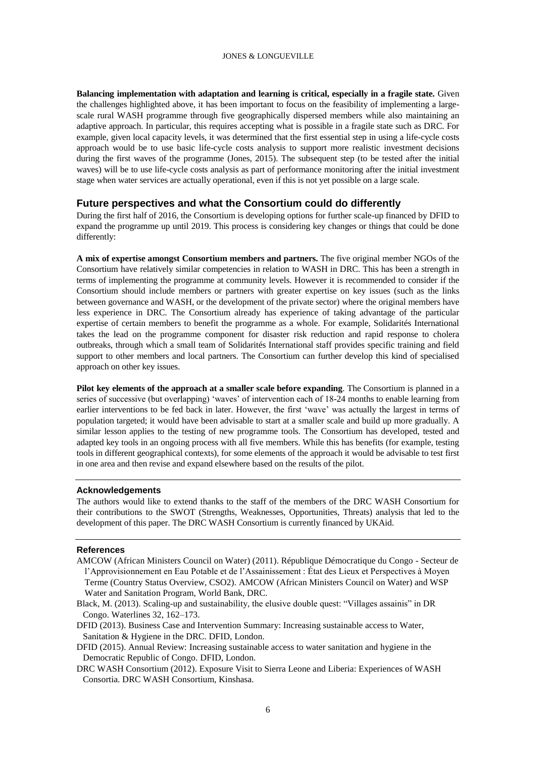**Balancing implementation with adaptation and learning is critical, especially in a fragile state.** Given the challenges highlighted above, it has been important to focus on the feasibility of implementing a largescale rural WASH programme through five geographically dispersed members while also maintaining an adaptive approach. In particular, this requires accepting what is possible in a fragile state such as DRC. For example, given local capacity levels, it was determined that the first essential step in using a life-cycle costs approach would be to use basic life-cycle costs analysis to support more realistic investment decisions during the first waves of the programme (Jones, 2015). The subsequent step (to be tested after the initial waves) will be to use life-cycle costs analysis as part of performance monitoring after the initial investment stage when water services are actually operational, even if this is not yet possible on a large scale.

### **Future perspectives and what the Consortium could do differently**

During the first half of 2016, the Consortium is developing options for further scale-up financed by DFID to expand the programme up until 2019. This process is considering key changes or things that could be done differently:

**A mix of expertise amongst Consortium members and partners.** The five original member NGOs of the Consortium have relatively similar competencies in relation to WASH in DRC. This has been a strength in terms of implementing the programme at community levels. However it is recommended to consider if the Consortium should include members or partners with greater expertise on key issues (such as the links between governance and WASH, or the development of the private sector) where the original members have less experience in DRC. The Consortium already has experience of taking advantage of the particular expertise of certain members to benefit the programme as a whole. For example, Solidarités International takes the lead on the programme component for disaster risk reduction and rapid response to cholera outbreaks, through which a small team of Solidarités International staff provides specific training and field support to other members and local partners. The Consortium can further develop this kind of specialised approach on other key issues.

**Pilot key elements of the approach at a smaller scale before expanding**. The Consortium is planned in a series of successive (but overlapping) 'waves' of intervention each of 18-24 months to enable learning from earlier interventions to be fed back in later. However, the first 'wave' was actually the largest in terms of population targeted; it would have been advisable to start at a smaller scale and build up more gradually. A similar lesson applies to the testing of new programme tools. The Consortium has developed, tested and adapted key tools in an ongoing process with all five members. While this has benefits (for example, testing tools in different geographical contexts), for some elements of the approach it would be advisable to test first in one area and then revise and expand elsewhere based on the results of the pilot.

### **Acknowledgements**

The authors would like to extend thanks to the staff of the members of the DRC WASH Consortium for their contributions to the SWOT (Strengths, Weaknesses, Opportunities, Threats) analysis that led to the development of this paper. The DRC WASH Consortium is currently financed by UKAid.

### **References**

AMCOW (African Ministers Council on Water) (2011). République Démocratique du Congo - Secteur de l'Approvisionnement en Eau Potable et de l'Assainissement : État des Lieux et Perspectives à Moyen Terme (Country Status Overview, CSO2). AMCOW (African Ministers Council on Water) and WSP Water and Sanitation Program, World Bank, DRC.

Black, M. (2013). Scaling-up and sustainability, the elusive double quest: "Villages assainis" in DR Congo. Waterlines 32, 162–173.

DFID (2013). Business Case and Intervention Summary: Increasing sustainable access to Water, Sanitation & Hygiene in the DRC. DFID, London.

DFID (2015). Annual Review: Increasing sustainable access to water sanitation and hygiene in the Democratic Republic of Congo. DFID, London.

DRC WASH Consortium (2012). Exposure Visit to Sierra Leone and Liberia: Experiences of WASH Consortia. DRC WASH Consortium, Kinshasa.